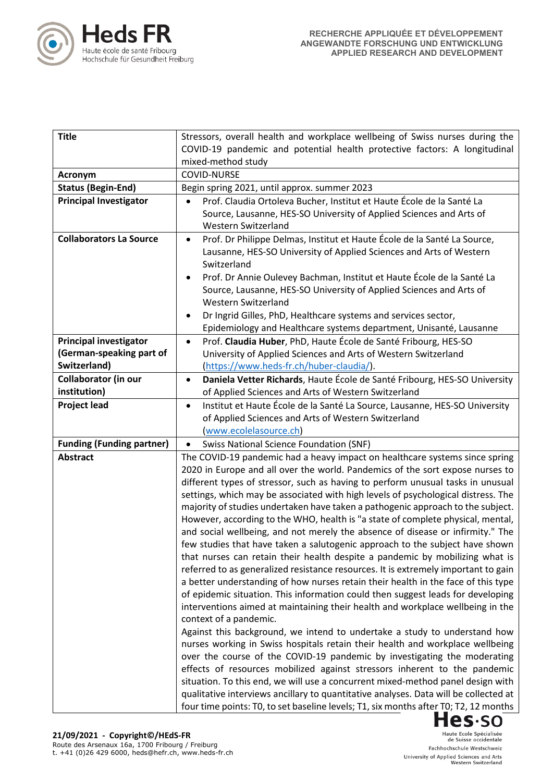

| <b>Title</b>                     | Stressors, overall health and workplace wellbeing of Swiss nurses during the                                                                                     |
|----------------------------------|------------------------------------------------------------------------------------------------------------------------------------------------------------------|
|                                  | COVID-19 pandemic and potential health protective factors: A longitudinal                                                                                        |
|                                  | mixed-method study                                                                                                                                               |
| Acronym                          | <b>COVID-NURSE</b>                                                                                                                                               |
| <b>Status (Begin-End)</b>        | Begin spring 2021, until approx. summer 2023                                                                                                                     |
| <b>Principal Investigator</b>    | Prof. Claudia Ortoleva Bucher, Institut et Haute École de la Santé La<br>$\bullet$                                                                               |
|                                  | Source, Lausanne, HES-SO University of Applied Sciences and Arts of                                                                                              |
|                                  | Western Switzerland                                                                                                                                              |
| <b>Collaborators La Source</b>   | Prof. Dr Philippe Delmas, Institut et Haute École de la Santé La Source,<br>$\bullet$                                                                            |
|                                  | Lausanne, HES-SO University of Applied Sciences and Arts of Western                                                                                              |
|                                  | Switzerland                                                                                                                                                      |
|                                  | Prof. Dr Annie Oulevey Bachman, Institut et Haute École de la Santé La                                                                                           |
|                                  | Source, Lausanne, HES-SO University of Applied Sciences and Arts of                                                                                              |
|                                  | Western Switzerland                                                                                                                                              |
|                                  | Dr Ingrid Gilles, PhD, Healthcare systems and services sector,                                                                                                   |
|                                  | Epidemiology and Healthcare systems department, Unisanté, Lausanne                                                                                               |
| <b>Principal investigator</b>    | Prof. Claudia Huber, PhD, Haute École de Santé Fribourg, HES-SO<br>$\bullet$                                                                                     |
| (German-speaking part of         | University of Applied Sciences and Arts of Western Switzerland                                                                                                   |
| Switzerland)                     | (https://www.heds-fr.ch/huber-claudia/).                                                                                                                         |
| <b>Collaborator (in our</b>      | Daniela Vetter Richards, Haute École de Santé Fribourg, HES-SO University<br>$\bullet$                                                                           |
| institution)                     | of Applied Sciences and Arts of Western Switzerland                                                                                                              |
| <b>Project lead</b>              | Institut et Haute École de la Santé La Source, Lausanne, HES-SO University<br>$\bullet$                                                                          |
|                                  | of Applied Sciences and Arts of Western Switzerland                                                                                                              |
|                                  | (www.ecolelasource.ch)                                                                                                                                           |
| <b>Funding (Funding partner)</b> | <b>Swiss National Science Foundation (SNF)</b>                                                                                                                   |
| <b>Abstract</b>                  | The COVID-19 pandemic had a heavy impact on healthcare systems since spring                                                                                      |
|                                  | 2020 in Europe and all over the world. Pandemics of the sort expose nurses to<br>different types of stressor, such as having to perform unusual tasks in unusual |
|                                  | settings, which may be associated with high levels of psychological distress. The                                                                                |
|                                  | majority of studies undertaken have taken a pathogenic approach to the subject.                                                                                  |
|                                  | However, according to the WHO, health is "a state of complete physical, mental,                                                                                  |
|                                  | and social wellbeing, and not merely the absence of disease or infirmity." The                                                                                   |
|                                  | few studies that have taken a salutogenic approach to the subject have shown                                                                                     |
|                                  | that nurses can retain their health despite a pandemic by mobilizing what is                                                                                     |
|                                  | referred to as generalized resistance resources. It is extremely important to gain                                                                               |
|                                  | a better understanding of how nurses retain their health in the face of this type                                                                                |
|                                  | of epidemic situation. This information could then suggest leads for developing                                                                                  |
|                                  | interventions aimed at maintaining their health and workplace wellbeing in the                                                                                   |
|                                  | context of a pandemic.                                                                                                                                           |
|                                  | Against this background, we intend to undertake a study to understand how                                                                                        |
|                                  | nurses working in Swiss hospitals retain their health and workplace wellbeing                                                                                    |
|                                  | over the course of the COVID-19 pandemic by investigating the moderating                                                                                         |
|                                  | effects of resources mobilized against stressors inherent to the pandemic                                                                                        |
|                                  | situation. To this end, we will use a concurrent mixed-method panel design with                                                                                  |
|                                  | qualitative interviews ancillary to quantitative analyses. Data will be collected at                                                                             |
|                                  | four time points: T0, to set baseline levels; T1, six months after T0; T2, 12 months                                                                             |
|                                  | <b>Hes</b> ·so                                                                                                                                                   |

Haute Ecole Spécialisée<br>de Suisse occidentale Fachhochschule Westschweiz University of Applied Sciences and Arts<br>Western Switzerland